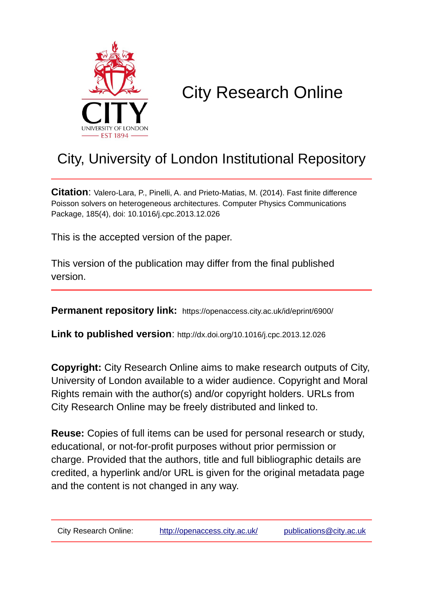

# City Research Online

## City, University of London Institutional Repository

**Citation**: Valero-Lara, P., Pinelli, A. and Prieto-Matias, M. (2014). Fast finite difference Poisson solvers on heterogeneous architectures. Computer Physics Communications Package, 185(4), doi: 10.1016/j.cpc.2013.12.026

This is the accepted version of the paper.

This version of the publication may differ from the final published version.

**Permanent repository link:** https://openaccess.city.ac.uk/id/eprint/6900/

**Link to published version**: http://dx.doi.org/10.1016/j.cpc.2013.12.026

**Copyright:** City Research Online aims to make research outputs of City, University of London available to a wider audience. Copyright and Moral Rights remain with the author(s) and/or copyright holders. URLs from City Research Online may be freely distributed and linked to.

**Reuse:** Copies of full items can be used for personal research or study, educational, or not-for-profit purposes without prior permission or charge. Provided that the authors, title and full bibliographic details are credited, a hyperlink and/or URL is given for the original metadata page and the content is not changed in any way.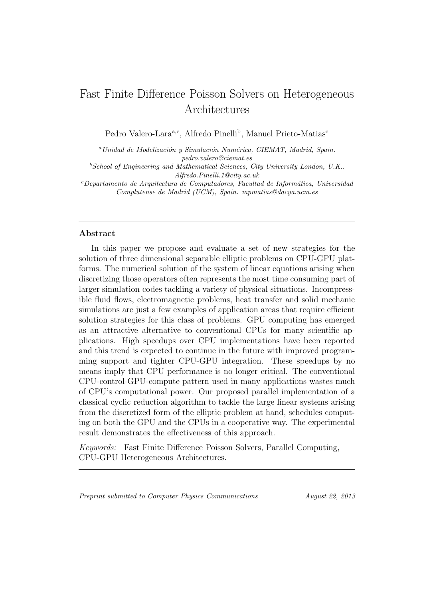### Fast Finite Difference Poisson Solvers on Heterogeneous Architectures

Pedro Valero-Lara<sup>a,c</sup>, Alfredo Pinelli<sup>b</sup>, Manuel Prieto-Matias<sup>c</sup>

<sup>a</sup>Unidad de Modelización y Simulación Numérica, CIEMAT, Madrid, Spain. pedro.valero@ciemat.es  $b$  School of Engineering and Mathematical Sciences, City University London, U.K.. Alfredo.Pinelli.1@city.ac.uk

 $c$ Departamento de Arquitectura de Computadores, Facultad de Informática, Universidad Complutense de Madrid (UCM), Spain. mpmatias@dacya.ucm.es

#### Abstract

In this paper we propose and evaluate a set of new strategies for the solution of three dimensional separable elliptic problems on CPU-GPU platforms. The numerical solution of the system of linear equations arising when discretizing those operators often represents the most time consuming part of larger simulation codes tackling a variety of physical situations. Incompressible fluid flows, electromagnetic problems, heat transfer and solid mechanic simulations are just a few examples of application areas that require efficient solution strategies for this class of problems. GPU computing has emerged as an attractive alternative to conventional CPUs for many scientific applications. High speedups over CPU implementations have been reported and this trend is expected to continue in the future with improved programming support and tighter CPU-GPU integration. These speedups by no means imply that CPU performance is no longer critical. The conventional CPU-control-GPU-compute pattern used in many applications wastes much of CPU's computational power. Our proposed parallel implementation of a classical cyclic reduction algorithm to tackle the large linear systems arising from the discretized form of the elliptic problem at hand, schedules computing on both the GPU and the CPUs in a cooperative way. The experimental result demonstrates the effectiveness of this approach.

*Keywords:* Fast Finite Difference Poisson Solvers, Parallel Computing, CPU-GPU Heterogeneous Architectures.

Preprint submitted to Computer Physics Communications August 22, 2013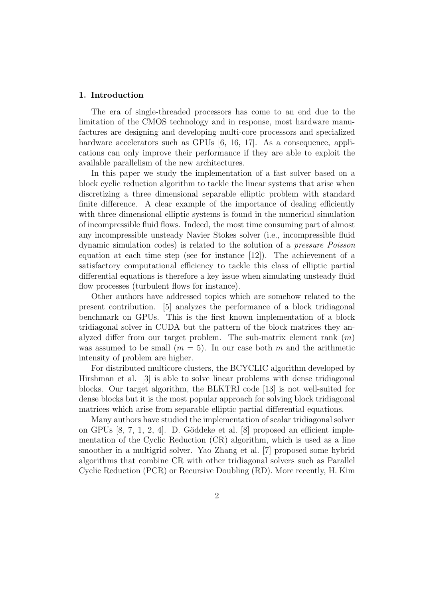#### 1. Introduction

The era of single-threaded processors has come to an end due to the limitation of the CMOS technology and in response, most hardware manufactures are designing and developing multi-core processors and specialized hardware accelerators such as GPUs [6, 16, 17]. As a consequence, applications can only improve their performance if they are able to exploit the available parallelism of the new architectures.

In this paper we study the implementation of a fast solver based on a block cyclic reduction algorithm to tackle the linear systems that arise when discretizing a three dimensional separable elliptic problem with standard finite difference. A clear example of the importance of dealing efficiently with three dimensional elliptic systems is found in the numerical simulation of incompressible fluid flows. Indeed, the most time consuming part of almost any incompressible unsteady Navier Stokes solver (i.e., incompressible fluid dynamic simulation codes) is related to the solution of a *pressure Poisson* equation at each time step (see for instance [12]). The achievement of a satisfactory computational efficiency to tackle this class of elliptic partial differential equations is therefore a key issue when simulating unsteady fluid flow processes (turbulent flows for instance).

Other authors have addressed topics which are somehow related to the present contribution. [5] analyzes the performance of a block tridiagonal benchmark on GPUs. This is the first known implementation of a block tridiagonal solver in CUDA but the pattern of the block matrices they analyzed differ from our target problem. The sub-matrix element rank  $(m)$ was assumed to be small  $(m = 5)$ . In our case both m and the arithmetic intensity of problem are higher.

For distributed multicore clusters, the BCYCLIC algorithm developed by Hirshman et al. [3] is able to solve linear problems with dense tridiagonal blocks. Our target algorithm, the BLKTRI code [13] is not well-suited for dense blocks but it is the most popular approach for solving block tridiagonal matrices which arise from separable elliptic partial differential equations.

Many authors have studied the implementation of scalar tridiagonal solver on GPUs  $[8, 7, 1, 2, 4]$ . D. Göddeke et al.  $[8]$  proposed an efficient implementation of the Cyclic Reduction (CR) algorithm, which is used as a line smoother in a multigrid solver. Yao Zhang et al. [7] proposed some hybrid algorithms that combine CR with other tridiagonal solvers such as Parallel Cyclic Reduction (PCR) or Recursive Doubling (RD). More recently, H. Kim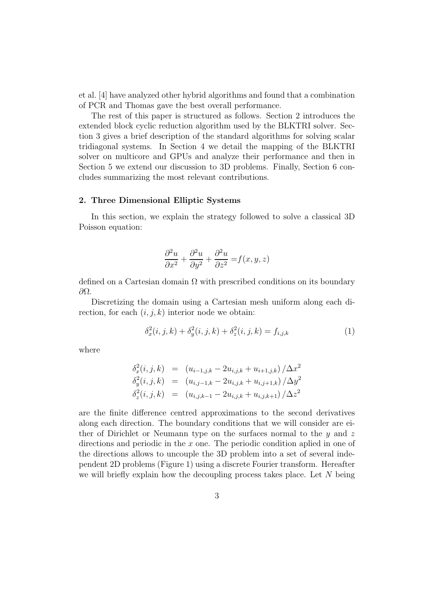et al. [4] have analyzed other hybrid algorithms and found that a combination of PCR and Thomas gave the best overall performance.

The rest of this paper is structured as follows. Section 2 introduces the extended block cyclic reduction algorithm used by the BLKTRI solver. Section 3 gives a brief description of the standard algorithms for solving scalar tridiagonal systems. In Section 4 we detail the mapping of the BLKTRI solver on multicore and GPUs and analyze their performance and then in Section 5 we extend our discussion to 3D problems. Finally, Section 6 concludes summarizing the most relevant contributions.

#### 2. Three Dimensional Elliptic Systems

In this section, we explain the strategy followed to solve a classical 3D Poisson equation:

$$
\frac{\partial^2 u}{\partial x^2} + \frac{\partial^2 u}{\partial y^2} + \frac{\partial^2 u}{\partial z^2} = f(x, y, z)
$$

defined on a Cartesian domain  $\Omega$  with prescribed conditions on its boundary  $\partial Ω$ .

Discretizing the domain using a Cartesian mesh uniform along each direction, for each  $(i, j, k)$  interior node we obtain:

$$
\delta_x^2(i,j,k) + \delta_y^2(i,j,k) + \delta_z^2(i,j,k) = f_{i,j,k}
$$
\n(1)

where

$$
\delta_x^2(i,j,k) = (u_{i-1,j,k} - 2u_{i,j,k} + u_{i+1,j,k}) / \Delta x^2 \n\delta_y^2(i,j,k) = (u_{i,j-1,k} - 2u_{i,j,k} + u_{i,j+1,k}) / \Delta y^2 \n\delta_z^2(i,j,k) = (u_{i,j,k-1} - 2u_{i,j,k} + u_{i,j,k+1}) / \Delta z^2
$$

are the finite difference centred approximations to the second derivatives along each direction. The boundary conditions that we will consider are either of Dirichlet or Neumann type on the surfaces normal to the  $\eta$  and z directions and periodic in the x one. The periodic condition aplied in one of the directions allows to uncouple the 3D problem into a set of several independent 2D problems (Figure 1) using a discrete Fourier transform. Hereafter we will briefly explain how the decoupling process takes place. Let  $N$  being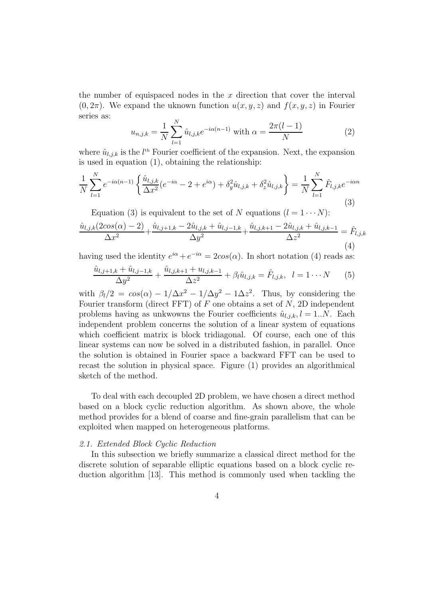the number of equispaced nodes in the  $x$  direction that cover the interval  $(0, 2\pi)$ . We expand the uknown function  $u(x, y, z)$  and  $f(x, y, z)$  in Fourier series as:

$$
u_{n,j,k} = \frac{1}{N} \sum_{l=1}^{N} \hat{u}_{l,j,k} e^{-i\alpha(n-1)} \text{ with } \alpha = \frac{2\pi(l-1)}{N}
$$
 (2)

where  $\hat{u}_{l,j,k}$  is the  $l^{\text{th}}$  Fourier coefficient of the expansion. Next, the expansion is used in equation (1), obtaining the relationship:

$$
\frac{1}{N} \sum_{l=1}^{N} e^{-i\alpha(n-1)} \left\{ \frac{\hat{u}_{l,j,k}}{\Delta x^2} (e^{-i\alpha} - 2 + e^{i\alpha}) + \delta_y^2 \hat{u}_{l,j,k} + \delta_z^2 \hat{u}_{l,j,k} \right\} = \frac{1}{N} \sum_{l=1}^{N} \hat{F}_{l,j,k} e^{-i\alpha n}
$$
\n(3)

Equation (3) is equivalent to the set of N equations  $(l = 1 \cdots N)$ :

$$
\frac{\hat{u}_{l,j,k}(2\cos(\alpha)-2)}{\Delta x^2} + \frac{\hat{u}_{l,j+1,k} - 2\hat{u}_{l,j,k} + \hat{u}_{l,j-1,k}}{\Delta y^2} + \frac{\hat{u}_{l,j,k+1} - 2\hat{u}_{l,j,k} + \hat{u}_{l,j,k-1}}{\Delta z^2} = \hat{F}_{l,j,k}
$$
\n(4)

having used the identity  $e^{i\alpha} + e^{-i\alpha} = 2\cos(\alpha)$ . In short notation (4) reads as:

$$
\frac{\hat{u}_{l,j+1,k} + \hat{u}_{l,j-1,k}}{\Delta y^2} + \frac{\hat{u}_{l,j,k+1} + u_{l,j,k-1}}{\Delta z^2} + \beta_l \hat{u}_{l,j,k} = \hat{F}_{l,j,k}, \quad l = 1 \cdots N \tag{5}
$$

with  $\beta_l/2 = \cos(\alpha) - 1/\Delta x^2 - 1/\Delta y^2 - 1/\Delta z^2$ . Thus, by considering the Fourier transform (direct FFT) of  $F$  one obtains a set of  $N$ , 2D independent problems having as unkwowns the Fourier coefficients  $\hat{u}_{l,i,k}$ ,  $l = 1..N$ . Each independent problem concerns the solution of a linear system of equations which coefficient matrix is block tridiagonal. Of course, each one of this linear systems can now be solved in a distributed fashion, in parallel. Once the solution is obtained in Fourier space a backward FFT can be used to recast the solution in physical space. Figure (1) provides an algorithmical sketch of the method.

To deal with each decoupled 2D problem, we have chosen a direct method based on a block cyclic reduction algorithm. As shown above, the whole method provides for a blend of coarse and fine-grain parallelism that can be exploited when mapped on heterogeneous platforms.

#### *2.1. Extended Block Cyclic Reduction*

In this subsection we briefly summarize a classical direct method for the discrete solution of separable elliptic equations based on a block cyclic reduction algorithm [13]. This method is commonly used when tackling the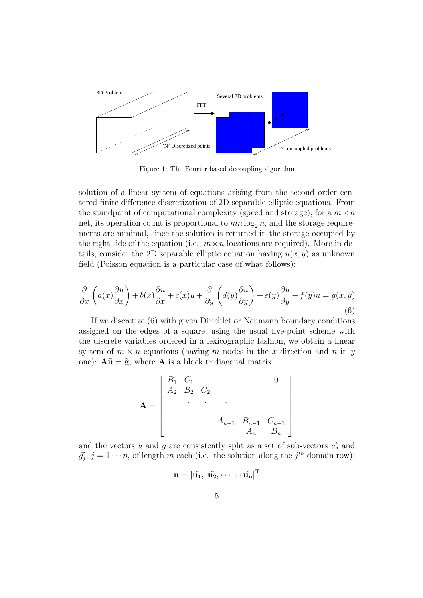

Figure 1: The Fourier based decoupling algorithm

solution of a linear system of equations arising from the second order centered finite difference discretization of 2D separable elliptic equations. From the standpoint of computational complexity (speed and storage), for a  $m \times n$ net, its operation count is proportional to  $mn \log_2 n$ , and the storage requirements are minimal, since the solution is returned in the storage occupied by the right side of the equation (i.e.,  $m \times n$  locations are required). More in details, consider the 2D separable elliptic equation having  $u(x, y)$  as unknown field (Poisson equation is a particular case of what follows):

$$
\frac{\partial}{\partial x}\left(a(x)\frac{\partial u}{\partial x}\right) + b(x)\frac{\partial u}{\partial x} + c(x)u + \frac{\partial}{\partial y}\left(d(y)\frac{\partial u}{\partial y}\right) + e(y)\frac{\partial u}{\partial y} + f(y)u = g(x, y)
$$
\n(6)

If we discretize (6) with given Dirichlet or Neumann boundary conditions assigned on the edges of a square, using the usual five-point scheme with the discrete variables ordered in a lexicographic fashion, we obtain a linear system of  $m \times n$  equations (having m nodes in the x direction and n in y one):  $A\tilde{u} = \tilde{g}$ , where A is a block tridiagonal matrix:

$$
\mathbf{A} = \begin{bmatrix} B_1 & C_1 & & & & 0 \\ A_2 & B_2 & C_2 & & & \\ & \ddots & \ddots & \ddots & & \\ & & \ddots & \ddots & \ddots & \\ & & & A_{n-1} & B_{n-1} & C_{n-1} \\ & & & & A_n & B_n \end{bmatrix}
$$

and the vectors  $\vec{u}$  and  $\vec{g}$  are consistently split as a set of sub-vectors  $\vec{u_j}$  and  $\vec{g}_j, j = 1 \cdots n$ , of length m each (i.e., the solution along the  $j^{th}$  domain row):

$$
\mathbf{u} = [\tilde{\mathbf{u}_1}, \ \tilde{\mathbf{u}_2}, \cdots \cdots \tilde{\mathbf{u}_n}]^\mathrm{T}
$$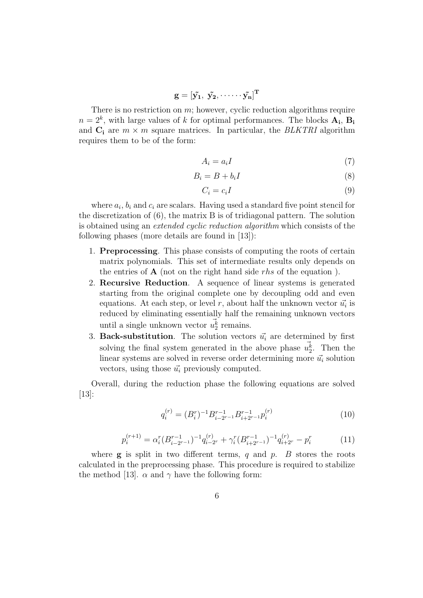$$
\mathbf{g}=\left[\tilde{\mathbf{y}_1},~\tilde{\mathbf{y}_2},\cdots\cdots\tilde{\mathbf{y}_n}\right]^\mathrm{T}
$$

There is no restriction on  $m$ ; however, cyclic reduction algorithms require  $n = 2<sup>k</sup>$ , with large values of k for optimal performances. The blocks  $A_i$ ,  $B_i$ and  $C_i$  are  $m \times m$  square matrices. In particular, the *BLKTRI* algorithm requires them to be of the form:

$$
A_i = a_i I \tag{7}
$$

$$
B_i = B + b_i I \tag{8}
$$

$$
C_i = c_i I \tag{9}
$$

where  $a_i$ ,  $b_i$  and  $c_i$  are scalars. Having used a standard five point stencil for the discretization of (6), the matrix B is of tridiagonal pattern. The solution is obtained using an *extended cyclic reduction algorithm* which consists of the following phases (more details are found in [13]):

- 1. Preprocessing. This phase consists of computing the roots of certain matrix polynomials. This set of intermediate results only depends on the entries of  $A$  (not on the right hand side *rhs* of the equation).
- 2. Recursive Reduction. A sequence of linear systems is generated starting from the original complete one by decoupling odd and even equations. At each step, or level r, about half the unknown vector  $\vec{u_i}$  is reduced by eliminating essentially half the remaining unknown vectors until a single unknown vector  $\vec{u}_2^{\vec{k}}$  remains.
- 3. Back-substitution. The solution vectors  $\vec{u_i}$  are determined by first solving the final system generated in the above phase  $\vec{u}_2^{\vec{k}}$ . Then the linear systems are solved in reverse order determining more  $\vec{u_i}$  solution vectors, using those  $\vec{u}_i$  previously computed.

Overall, during the reduction phase the following equations are solved [13]:

$$
q_i^{(r)} = (B_i^r)^{-1} B_{i-2r-1}^{r-1} B_{i+2r-1}^{r-1} p_i^{(r)}
$$
\n
$$
(10)
$$

$$
p_i^{(r+1)} = \alpha_i^r (B_{i-2^{r-1}}^{r-1})^{-1} q_{i-2^r}^{(r)} + \gamma_i^r (B_{i+2^{r-1}}^{r-1})^{-1} q_{i+2^r}^{(r)} - p_i^r \tag{11}
$$

where  $g$  is split in two different terms, q and p. B stores the roots calculated in the preprocessing phase. This procedure is required to stabilize the method [13].  $\alpha$  and  $\gamma$  have the following form: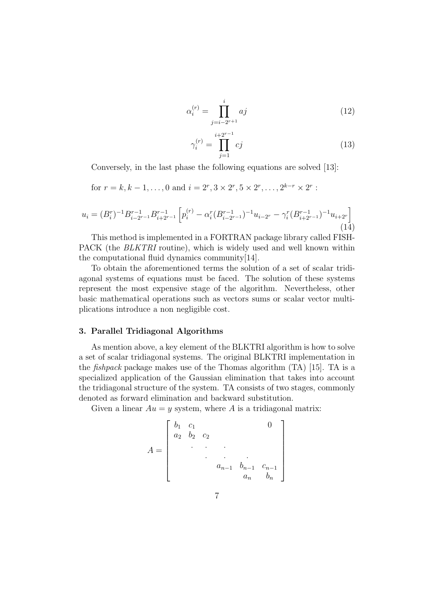$$
\alpha_i^{(r)} = \prod_{j=i-2^{r+1}}^i aj \tag{12}
$$

$$
\gamma_i^{(r)} = \prod_{j=1}^{i+2^{r-1}} cj
$$
\n(13)

Conversely, in the last phase the following equations are solved [13]:

for 
$$
r = k, k - 1, ..., 0
$$
 and  $i = 2^r, 3 \times 2^r, 5 \times 2^r, ..., 2^{k-r} \times 2^r$ :

$$
u_i = (B_i^r)^{-1} B_{i-2r-1}^{r-1} B_{i+2r-1}^{r-1} \left[ p_i^{(r)} - \alpha_i^r (B_{i-2r-1}^{r-1})^{-1} u_{i-2r} - \gamma_i^r (B_{i+2r-1}^{r-1})^{-1} u_{i+2r} \right]
$$
\n(14)

This method is implemented in a FORTRAN package library called FISH-PACK (the *BLKTRI* routine), which is widely used and well known within the computational fluid dynamics community[14].

To obtain the aforementioned terms the solution of a set of scalar tridiagonal systems of equations must be faced. The solution of these systems represent the most expensive stage of the algorithm. Nevertheless, other basic mathematical operations such as vectors sums or scalar vector multiplications introduce a non negligible cost.

#### 3. Parallel Tridiagonal Algorithms

As mention above, a key element of the BLKTRI algorithm is how to solve a set of scalar tridiagonal systems. The original BLKTRI implementation in the *fishpack* package makes use of the Thomas algorithm (TA) [15]. TA is a specialized application of the Gaussian elimination that takes into account the tridiagonal structure of the system. TA consists of two stages, commonly denoted as forward elimination and backward substitution.

Given a linear  $Au = y$  system, where A is a tridiagonal matrix:

$$
A = \begin{bmatrix} b_1 & c_1 & & & & 0 \\ a_2 & b_2 & c_2 & & & \\ & \ddots & \ddots & \ddots & & \\ & & a_{n-1} & b_{n-1} & c_{n-1} \\ & & & a_n & b_n \end{bmatrix}
$$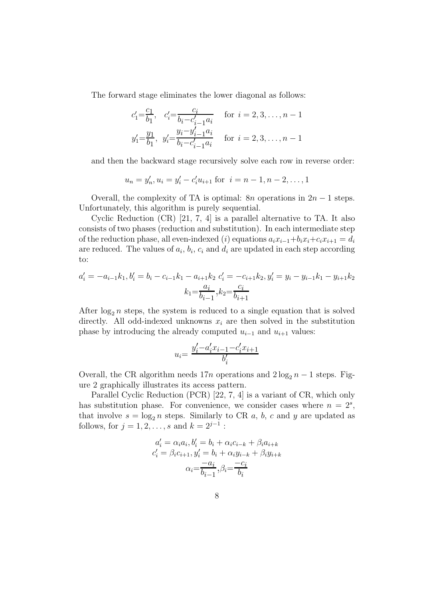The forward stage eliminates the lower diagonal as follows:

$$
c'_1 = \frac{c_1}{b_1}, \quad c'_i = \frac{c_i}{b_i - c'_{i-1} a_i} \quad \text{for } i = 2, 3, \dots, n-1
$$
  

$$
y'_1 = \frac{y_1}{b_1}, \quad y'_i = \frac{y_i - y'_{i-1} a_i}{b_i - c'_{i-1} a_i} \quad \text{for } i = 2, 3, \dots, n-1
$$

and then the backward stage recursively solve each row in reverse order:

$$
u_n = y'_n, u_i = y'_i - c'_i u_{i+1}
$$
 for  $i = n - 1, n - 2, ..., 1$ 

Overall, the complexity of TA is optimal: 8n operations in  $2n - 1$  steps. Unfortunately, this algorithm is purely sequential.

Cyclic Reduction (CR) [21, 7, 4] is a parallel alternative to TA. It also consists of two phases (reduction and substitution). In each intermediate step of the reduction phase, all even-indexed (i) equations  $a_i x_{i-1}+b_i x_i+c_i x_{i+1} = d_i$ are reduced. The values of  $a_i$ ,  $b_i$ ,  $c_i$  and  $d_i$  are updated in each step according to:

$$
a'_i = -a_{i-1}k_1, b'_i = b_i - c_{i-1}k_1 - a_{i+1}k_2, c'_i = -c_{i+1}k_2, y'_i = y_i - y_{i-1}k_1 - y_{i+1}k_2
$$

$$
k_1 = \frac{a_i}{b_{i-1}}, k_2 = \frac{c_i}{b_{i+1}}
$$

After  $\log_2 n$  steps, the system is reduced to a single equation that is solved directly. All odd-indexed unknowns  $x_i$  are then solved in the substitution phase by introducing the already computed  $u_{i-1}$  and  $u_{i+1}$  values:

$$
u_i\!\!=\frac{y_i'-a_i'x_{i-1}\!-\!c_i'x_{i+1}}{b_i'}
$$

Overall, the CR algorithm needs  $17n$  operations and  $2 \log_2 n - 1$  steps. Figure 2 graphically illustrates its access pattern.

Parallel Cyclic Reduction (PCR) [22, 7, 4] is a variant of CR, which only has substitution phase. For convenience, we consider cases where  $n = 2<sup>s</sup>$ , that involve  $s = \log_2 n$  steps. Similarly to CR a, b, c and y are updated as follows, for  $j = 1, 2, ..., s$  and  $k = 2^{j-1}$ :

$$
a'_{i} = \alpha_{i}a_{i}, b'_{i} = b_{i} + \alpha_{i}c_{i-k} + \beta_{i}a_{i+k}
$$
  

$$
c'_{i} = \beta_{i}c_{i+1}, y'_{i} = b_{i} + \alpha_{i}y_{i-k} + \beta_{i}y_{i+k}
$$
  

$$
\alpha_{i} = \frac{-a_{i}}{b_{i-1}}, \beta_{i} = \frac{-c_{i}}{b_{i}}
$$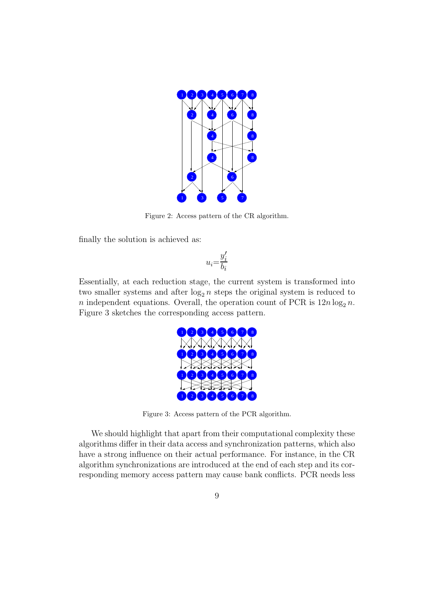

Figure 2: Access pattern of the CR algorithm.

finally the solution is achieved as:

$$
u_i{=}\frac{y_i'}{b_i}
$$

Essentially, at each reduction stage, the current system is transformed into two smaller systems and after  $\log_2 n$  steps the original system is reduced to n independent equations. Overall, the operation count of PCR is  $12n \log_2 n$ . Figure 3 sketches the corresponding access pattern.



Figure 3: Access pattern of the PCR algorithm.

We should highlight that apart from their computational complexity these algorithms differ in their data access and synchronization patterns, which also have a strong influence on their actual performance. For instance, in the CR algorithm synchronizations are introduced at the end of each step and its corresponding memory access pattern may cause bank conflicts. PCR needs less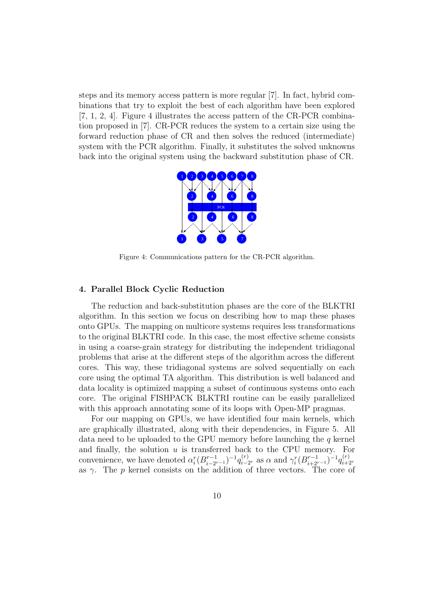steps and its memory access pattern is more regular [7]. In fact, hybrid combinations that try to exploit the best of each algorithm have been explored [7, 1, 2, 4]. Figure 4 illustrates the access pattern of the CR-PCR combination proposed in [7]. CR-PCR reduces the system to a certain size using the forward reduction phase of CR and then solves the reduced (intermediate) system with the PCR algorithm. Finally, it substitutes the solved unknowns back into the original system using the backward substitution phase of CR.



Figure 4: Communications pattern for the CR-PCR algorithm.

#### 4. Parallel Block Cyclic Reduction

The reduction and back-substitution phases are the core of the BLKTRI algorithm. In this section we focus on describing how to map these phases onto GPUs. The mapping on multicore systems requires less transformations to the original BLKTRI code. In this case, the most effective scheme consists in using a coarse-grain strategy for distributing the independent tridiagonal problems that arise at the different steps of the algorithm across the different cores. This way, these tridiagonal systems are solved sequentially on each core using the optimal TA algorithm. This distribution is well balanced and data locality is optimized mapping a subset of continuous systems onto each core. The original FISHPACK BLKTRI routine can be easily parallelized with this approach annotating some of its loops with Open-MP pragmas.

For our mapping on GPUs, we have identified four main kernels, which are graphically illustrated, along with their dependencies, in Figure 5. All data need to be uploaded to the GPU memory before launching the  $q$  kernel and finally, the solution  $u$  is transferred back to the CPU memory. For convenience, we have denoted  $\alpha_i^r(B_{i-2}^{r-1})$  $\sum_{i=2^{r-1}}^{r-1}$  $-1 \overline{q}_{i-2^r}^{(r)}$  as  $\alpha$  and  $\gamma_i^r (B_{i+2^{r-1}}^{r-1})^{-1} \overline{q}_{i+2^r}^{(r)}$ as  $\gamma$ . The p kernel consists on the addition of three vectors. The core of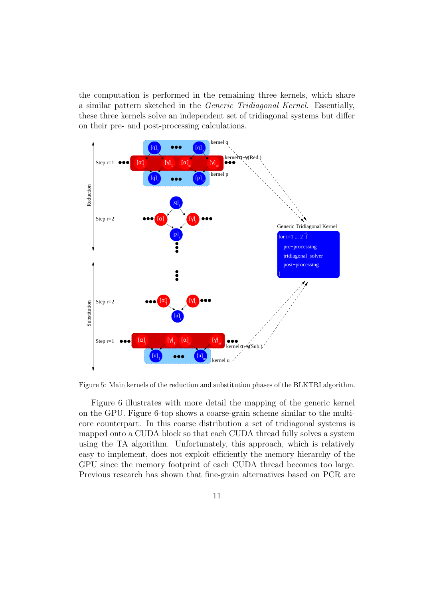the computation is performed in the remaining three kernels, which share a similar pattern sketched in the *Generic Tridiagonal Kernel*. Essentially, these three kernels solve an independent set of tridiagonal systems but differ on their pre- and post-processing calculations.



Figure 5: Main kernels of the reduction and substitution phases of the BLKTRI algorithm.

Figure 6 illustrates with more detail the mapping of the generic kernel on the GPU. Figure 6-top shows a coarse-grain scheme similar to the multicore counterpart. In this coarse distribution a set of tridiagonal systems is mapped onto a CUDA block so that each CUDA thread fully solves a system using the TA algorithm. Unfortunately, this approach, which is relatively easy to implement, does not exploit efficiently the memory hierarchy of the GPU since the memory footprint of each CUDA thread becomes too large. Previous research has shown that fine-grain alternatives based on PCR are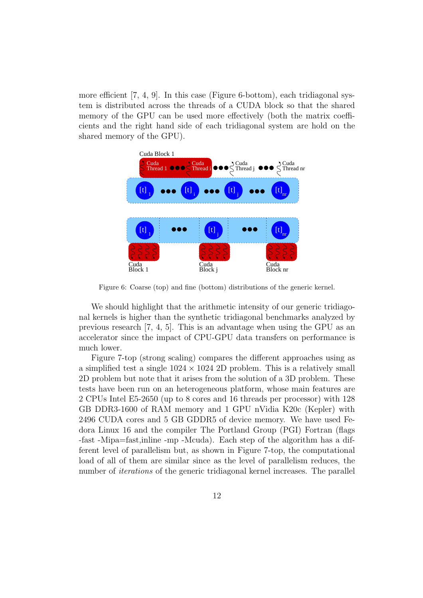more efficient [7, 4, 9]. In this case (Figure 6-bottom), each tridiagonal system is distributed across the threads of a CUDA block so that the shared memory of the GPU can be used more effectively (both the matrix coefficients and the right hand side of each tridiagonal system are hold on the shared memory of the GPU).



Figure 6: Coarse (top) and fine (bottom) distributions of the generic kernel.

We should highlight that the arithmetic intensity of our generic tridiagonal kernels is higher than the synthetic tridiagonal benchmarks analyzed by previous research [7, 4, 5]. This is an advantage when using the GPU as an accelerator since the impact of CPU-GPU data transfers on performance is much lower.

Figure 7-top (strong scaling) compares the different approaches using as a simplified test a single  $1024 \times 1024$  2D problem. This is a relatively small 2D problem but note that it arises from the solution of a 3D problem. These tests have been run on an heterogeneous platform, whose main features are 2 CPUs Intel E5-2650 (up to 8 cores and 16 threads per processor) with 128 GB DDR3-1600 of RAM memory and 1 GPU nVidia K20c (Kepler) with 2496 CUDA cores and 5 GB GDDR5 of device memory. We have used Fedora Linux 16 and the compiler The Portland Group (PGI) Fortran (flags -fast -Mipa=fast,inline -mp -Mcuda). Each step of the algorithm has a different level of parallelism but, as shown in Figure 7-top, the computational load of all of them are similar since as the level of parallelism reduces, the number of *iterations* of the generic tridiagonal kernel increases. The parallel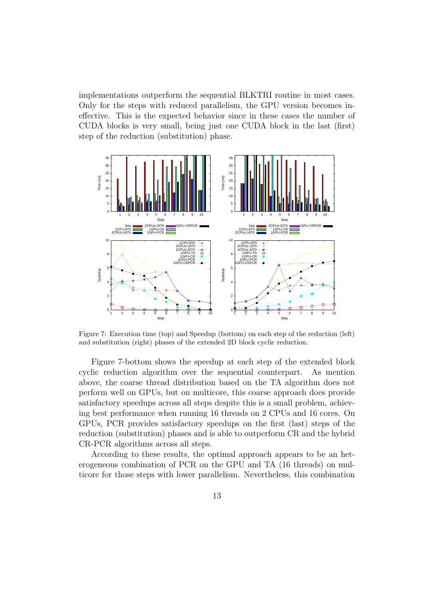implementations outperform the sequential BLKTRI routine in most cases. Only for the steps with reduced parallelism, the GPU version becomes ineffective. This is the expected behavior since in these cases the number of CUDA blocks is very small, being just one CUDA block in the last (first) step of the reduction (substitution) phase.



Figure 7: Execution time (top) and Speedup (bottom) on each step of the reduction (left) and substitution (right) phases of the extended 2D block cyclic reduction.

Figure 7-bottom shows the speedup at each step of the extended block cyclic reduction algorithm over the sequential counterpart. As mention above, the coarse thread distribution based on the TA algorithm does not perform well on GPUs, but on multicore, this coarse approach does provide satisfactory speedups across all steps despite this is a small problem, achieving best performance when running 16 threads on 2 CPUs and 16 cores. On GPUs, PCR provides satisfactory speedups on the first (last) steps of the reduction (substitution) phases and is able to outperform CR and the hybrid CR-PCR algorithms across all steps.

According to these results, the optimal approach appears to be an heterogeneous combination of PCR on the GPU and TA (16 threads) on multicore for those steps with lower parallelism. Nevertheless, this combination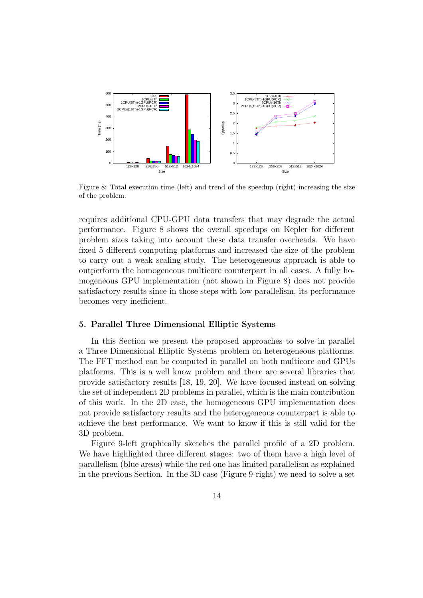

Figure 8: Total execution time (left) and trend of the speedup (right) increasing the size of the problem.

requires additional CPU-GPU data transfers that may degrade the actual performance. Figure 8 shows the overall speedups on Kepler for different problem sizes taking into account these data transfer overheads. We have fixed 5 different computing platforms and increased the size of the problem to carry out a weak scaling study. The heterogeneous approach is able to outperform the homogeneous multicore counterpart in all cases. A fully homogeneous GPU implementation (not shown in Figure 8) does not provide satisfactory results since in those steps with low parallelism, its performance becomes very inefficient.

#### 5. Parallel Three Dimensional Elliptic Systems

In this Section we present the proposed approaches to solve in parallel a Three Dimensional Elliptic Systems problem on heterogeneous platforms. The FFT method can be computed in parallel on both multicore and GPUs platforms. This is a well know problem and there are several libraries that provide satisfactory results [18, 19, 20]. We have focused instead on solving the set of independent 2D problems in parallel, which is the main contribution of this work. In the 2D case, the homogeneous GPU implementation does not provide satisfactory results and the heterogeneous counterpart is able to achieve the best performance. We want to know if this is still valid for the 3D problem.

Figure 9-left graphically sketches the parallel profile of a 2D problem. We have highlighted three different stages: two of them have a high level of parallelism (blue areas) while the red one has limited parallelism as explained in the previous Section. In the 3D case (Figure 9-right) we need to solve a set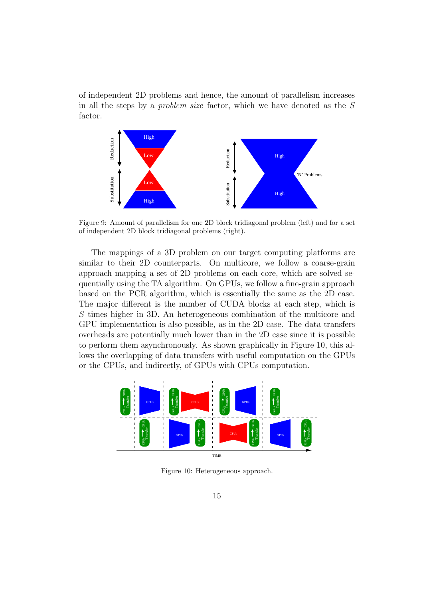of independent 2D problems and hence, the amount of parallelism increases in all the steps by a *problem size* factor, which we have denoted as the S factor.



Figure 9: Amount of parallelism for one 2D block tridiagonal problem (left) and for a set of independent 2D block tridiagonal problems (right).

The mappings of a 3D problem on our target computing platforms are similar to their 2D counterparts. On multicore, we follow a coarse-grain approach mapping a set of 2D problems on each core, which are solved sequentially using the TA algorithm. On GPUs, we follow a fine-grain approach based on the PCR algorithm, which is essentially the same as the 2D case. The major different is the number of CUDA blocks at each step, which is S times higher in 3D. An heterogeneous combination of the multicore and GPU implementation is also possible, as in the 2D case. The data transfers overheads are potentially much lower than in the 2D case since it is possible to perform them asynchronously. As shown graphically in Figure 10, this allows the overlapping of data transfers with useful computation on the GPUs or the CPUs, and indirectly, of GPUs with CPUs computation.



Figure 10: Heterogeneous approach.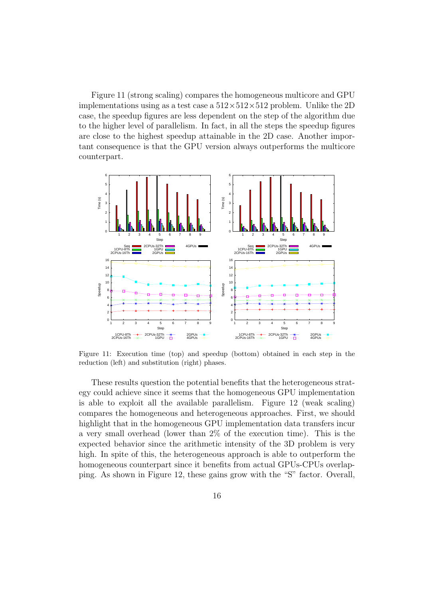Figure 11 (strong scaling) compares the homogeneous multicore and GPU implementations using as a test case a  $512\times512\times512$  problem. Unlike the 2D case, the speedup figures are less dependent on the step of the algorithm due to the higher level of parallelism. In fact, in all the steps the speedup figures are close to the highest speedup attainable in the 2D case. Another important consequence is that the GPU version always outperforms the multicore counterpart.



Figure 11: Execution time (top) and speedup (bottom) obtained in each step in the reduction (left) and substitution (right) phases.

These results question the potential benefits that the heterogeneous strategy could achieve since it seems that the homogeneous GPU implementation is able to exploit all the available parallelism. Figure 12 (weak scaling) compares the homogeneous and heterogeneous approaches. First, we should highlight that in the homogeneous GPU implementation data transfers incur a very small overhead (lower than 2% of the execution time). This is the expected behavior since the arithmetic intensity of the 3D problem is very high. In spite of this, the heterogeneous approach is able to outperform the homogeneous counterpart since it benefits from actual GPUs-CPUs overlapping. As shown in Figure 12, these gains grow with the "S" factor. Overall,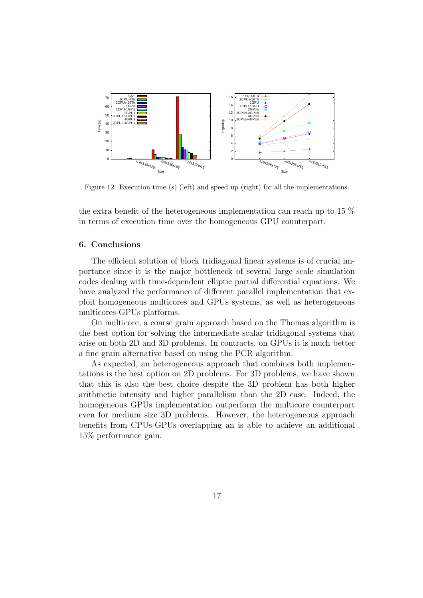

Figure 12: Execution time (s) (left) and speed up (right) for all the implementations.

the extra benefit of the heterogeneous implementation can reach up to 15 % in terms of execution time over the homogeneous GPU counterpart.

#### 6. Conclusions

The efficient solution of block tridiagonal linear systems is of crucial importance since it is the major bottleneck of several large scale simulation codes dealing with time-dependent elliptic partial differential equations. We have analyzed the performance of different parallel implementation that exploit homogeneous multicores and GPUs systems, as well as heterogeneous multicores-GPUs platforms.

On multicore, a coarse grain approach based on the Thomas algorithm is the best option for solving the intermediate scalar tridiagonal systems that arise on both 2D and 3D problems. In contracts, on GPUs it is much better a fine grain alternative based on using the PCR algorithm.

As expected, an heterogeneous approach that combines both implementations is the best option on 2D problems. For 3D problems, we have shown that this is also the best choice despite the 3D problem has both higher arithmetic intensity and higher parallelism than the 2D case. Indeed, the homogeneous GPUs implementation outperform the multicore counterpart even for medium size 3D problems. However, the heterogeneous approach benefits from CPUs-GPUs overlapping an is able to achieve an additional 15% performance gain.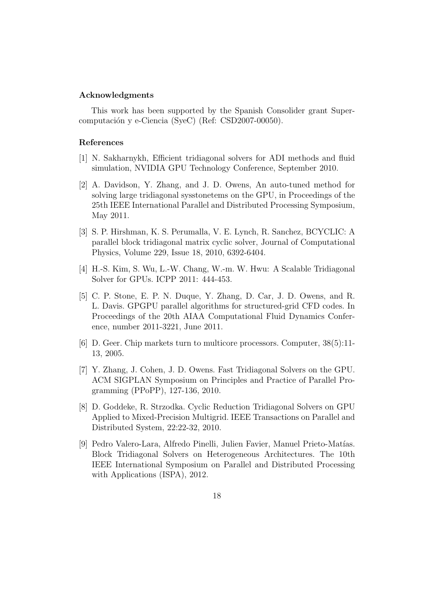#### Acknowledgments

This work has been supported by the Spanish Consolider grant Supercomputación y e-Ciencia (SyeC) (Ref: CSD2007-00050).

#### References

- [1] N. Sakharnykh, Efficient tridiagonal solvers for ADI methods and fluid simulation, NVIDIA GPU Technology Conference, September 2010.
- [2] A. Davidson, Y. Zhang, and J. D. Owens, An auto-tuned method for solving large tridiagonal sysstonetems on the GPU, in Proceedings of the 25th IEEE International Parallel and Distributed Processing Symposium, May 2011.
- [3] S. P. Hirshman, K. S. Perumalla, V. E. Lynch, R. Sanchez, BCYCLIC: A parallel block tridiagonal matrix cyclic solver, Journal of Computational Physics, Volume 229, Issue 18, 2010, 6392-6404.
- [4] H.-S. Kim, S. Wu, L.-W. Chang, W.-m. W. Hwu: A Scalable Tridiagonal Solver for GPUs. ICPP 2011: 444-453.
- [5] C. P. Stone, E. P. N. Duque, Y. Zhang, D. Car, J. D. Owens, and R. L. Davis. GPGPU parallel algorithms for structured-grid CFD codes. In Proceedings of the 20th AIAA Computational Fluid Dynamics Conference, number 2011-3221, June 2011.
- [6] D. Geer. Chip markets turn to multicore processors. Computer, 38(5):11- 13, 2005.
- [7] Y. Zhang, J. Cohen, J. D. Owens. Fast Tridiagonal Solvers on the GPU. ACM SIGPLAN Symposium on Principles and Practice of Parallel Programming (PPoPP), 127-136, 2010.
- [8] D. Goddeke, R. Strzodka. Cyclic Reduction Tridiagonal Solvers on GPU Applied to Mixed-Precision Multigrid. IEEE Transactions on Parallel and Distributed System, 22:22-32, 2010.
- [9] Pedro Valero-Lara, Alfredo Pinelli, Julien Favier, Manuel Prieto-Matías. Block Tridiagonal Solvers on Heterogeneous Architectures. The 10th IEEE International Symposium on Parallel and Distributed Processing with Applications (ISPA), 2012.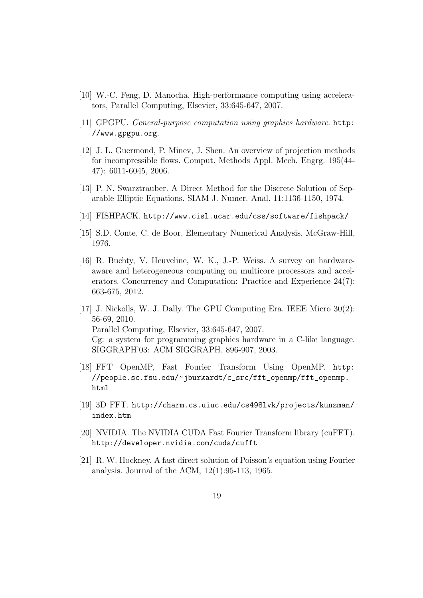- [10] W.-C. Feng, D. Manocha. High-performance computing using accelerators, Parallel Computing, Elsevier, 33:645-647, 2007.
- [11] GPGPU. *General-purpose computation using graphics hardware*. http: //www.gpgpu.org.
- [12] J. L. Guermond, P. Minev, J. Shen. An overview of projection methods for incompressible flows. Comput. Methods Appl. Mech. Engrg. 195(44- 47): 6011-6045, 2006.
- [13] P. N. Swarztrauber. A Direct Method for the Discrete Solution of Separable Elliptic Equations. SIAM J. Numer. Anal. 11:1136-1150, 1974.
- [14] FISHPACK. http://www.cisl.ucar.edu/css/software/fishpack/
- [15] S.D. Conte, C. de Boor. Elementary Numerical Analysis, McGraw-Hill, 1976.
- [16] R. Buchty, V. Heuveline, W. K., J.-P. Weiss. A survey on hardwareaware and heterogeneous computing on multicore processors and accelerators. Concurrency and Computation: Practice and Experience 24(7): 663-675, 2012.
- [17] J. Nickolls, W. J. Dally. The GPU Computing Era. IEEE Micro 30(2): 56-69, 2010. Parallel Computing, Elsevier, 33:645-647, 2007. Cg: a system for programming graphics hardware in a C-like language. SIGGRAPH'03: ACM SIGGRAPH, 896-907, 2003.
- [18] FFT OpenMP, Fast Fourier Transform Using OpenMP. http: //people.sc.fsu.edu/~jburkardt/c\_src/fft\_openmp/fft\_openmp. html
- [19] 3D FFT. http://charm.cs.uiuc.edu/cs498lvk/projects/kunzman/ index.htm
- [20] NVIDIA. The NVIDIA CUDA Fast Fourier Transform library (cuFFT). http://developer.nvidia.com/cuda/cufft
- [21] R. W. Hockney. A fast direct solution of Poisson's equation using Fourier analysis. Journal of the ACM, 12(1):95-113, 1965.